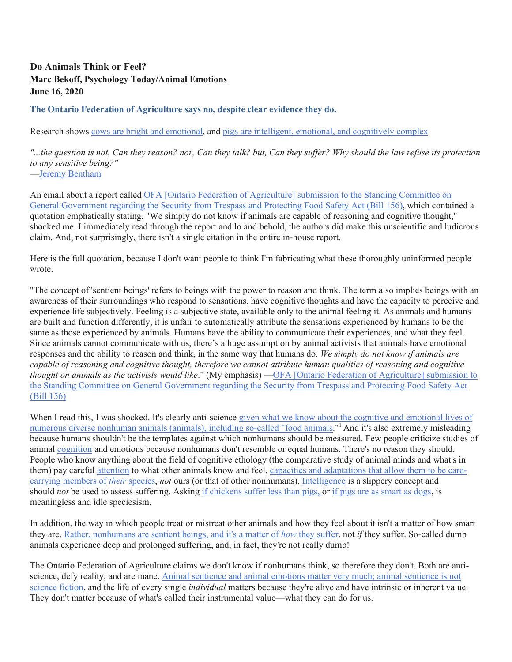## **Do Animals Think or Feel? Marc Bekoff, Psychology Today/Animal Emotions June 16, 2020**

## **The Ontario Federation of Agriculture says no, despite clear evidence they do.**

Research shows cows are bright and emotional, and pigs are intelligent, emotional, and cognitively complex

*"...the question is not, Can they reason? nor, Can they talk? but, Can they suffer? Why should the law refuse its protection to any sensitive being?"*

—Jeremy Bentham

An email about a report called OFA [Ontario Federation of Agriculture] submission to the Standing Committee on General Government regarding the Security from Trespass and Protecting Food Safety Act (Bill 156), which contained a quotation emphatically stating, "We simply do not know if animals are capable of reasoning and cognitive thought," shocked me. I immediately read through the report and lo and behold, the authors did make this unscientific and ludicrous claim. And, not surprisingly, there isn't a single citation in the entire in-house report.

Here is the full quotation, because I don't want people to think I'm fabricating what these thoroughly uninformed people wrote.

"The concept of 'sentient beings' refers to beings with the power to reason and think. The term also implies beings with an awareness of their surroundings who respond to sensations, have cognitive thoughts and have the capacity to perceive and experience life subjectively. Feeling is a subjective state, available only to the animal feeling it. As animals and humans are built and function differently, it is unfair to automatically attribute the sensations experienced by humans to be the same as those experienced by animals. Humans have the ability to communicate their experiences, and what they feel. Since animals cannot communicate with us, there's a huge assumption by animal activists that animals have emotional responses and the ability to reason and think, in the same way that humans do. *We simply do not know if animals are capable of reasoning and cognitive thought, therefore we cannot attribute human qualities of reasoning and cognitive thought on animals as the activists would like*." (My emphasis) —OFA [Ontario Federation of Agriculture] submission to the Standing Committee on General Government regarding the Security from Trespass and Protecting Food Safety Act (Bill 156)

When I read this, I was shocked. It's clearly anti-science given what we know about the cognitive and emotional lives of numerous diverse nonhuman animals (animals), including so-called "food animals."<sup>1</sup> And it's also extremely misleading because humans shouldn't be the templates against which nonhumans should be measured. Few people criticize studies of animal cognition and emotions because nonhumans don't resemble or equal humans. There's no reason they should. People who know anything about the field of cognitive ethology (the comparative study of animal minds and what's in them) pay careful attention to what other animals know and feel, capacities and adaptations that allow them to be cardcarrying members of *their* species, *not* ours (or that of other nonhumans). Intelligence is a slippery concept and should *not* be used to assess suffering. Asking if chickens suffer less than pigs, or if pigs are as smart as dogs, is meaningless and idle speciesism.

In addition, the way in which people treat or mistreat other animals and how they feel about it isn't a matter of how smart they are. Rather, nonhumans are sentient beings, and it's a matter of *how* they suffer, not *if* they suffer. So-called dumb animals experience deep and prolonged suffering, and, in fact, they're not really dumb!

The Ontario Federation of Agriculture claims we don't know if nonhumans think, so therefore they don't. Both are antiscience, defy reality, and are inane. Animal sentience and animal emotions matter very much; animal sentience is not science fiction, and the life of every single *individual* matters because they're alive and have intrinsic or inherent value. They don't matter because of what's called their instrumental value—what they can do for us.